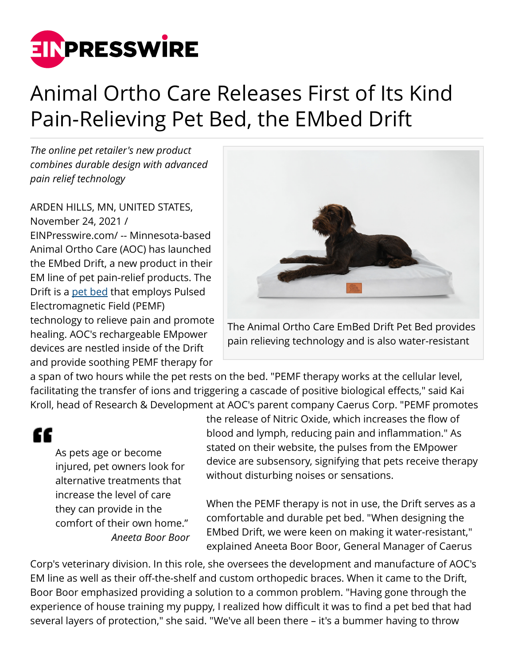

## Animal Ortho Care Releases First of Its Kind Pain-Relieving Pet Bed, the EMbed Drift

*The online pet retailer's new product combines durable design with advanced pain relief technology*

ARDEN HILLS, MN, UNITED STATES, November 24, 2021 / [EINPresswire.com](http://www.einpresswire.com)/ -- Minnesota-based Animal Ortho Care (AOC) has launched the EMbed Drift, a new product in their EM line of pet pain-relief products. The Drift is a [pet bed](http://www.aocpet.com/products/embed-drift-pet-bed) that employs Pulsed Electromagnetic Field (PEMF) technology to relieve pain and promote healing. AOC's rechargeable EMpower devices are nestled inside of the Drift and provide soothing PEMF therapy for



The Animal Ortho Care EmBed Drift Pet Bed provides pain relieving technology and is also water-resistant

a span of two hours while the pet rests on the bed. "PEMF therapy works at the cellular level, facilitating the transfer of ions and triggering a cascade of positive biological effects," said Kai Kroll, head of Research & Development at AOC's parent company Caerus Corp. "PEMF promotes

££

As pets age or become injured, pet owners look for alternative treatments that increase the level of care they can provide in the comfort of their own home." *Aneeta Boor Boor* the release of Nitric Oxide, which increases the flow of blood and lymph, reducing pain and inflammation." As stated on their website, the pulses from the EMpower device are subsensory, signifying that pets receive therapy without disturbing noises or sensations.

When the PEMF therapy is not in use, the Drift serves as a comfortable and durable pet bed. "When designing the EMbed Drift, we were keen on making it water-resistant," explained Aneeta Boor Boor, General Manager of Caerus

Corp's veterinary division. In this role, she oversees the development and manufacture of AOC's EM line as well as their off-the-shelf and custom orthopedic braces. When it came to the Drift, Boor Boor emphasized providing a solution to a common problem. "Having gone through the experience of house training my puppy, I realized how difficult it was to find a pet bed that had several layers of protection," she said. "We've all been there – it's a bummer having to throw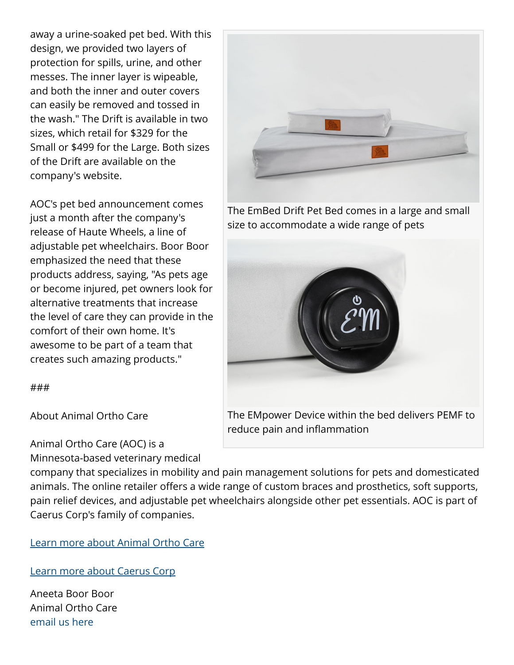away a urine-soaked pet bed. With this design, we provided two layers of protection for spills, urine, and other messes. The inner layer is wipeable, and both the inner and outer covers can easily be removed and tossed in the wash." The Drift is available in two sizes, which retail for \$329 for the Small or \$499 for the Large. Both sizes of the Drift are available on the company's website.

AOC's pet bed announcement comes just a month after the company's release of Haute Wheels, a line of adjustable pet wheelchairs. Boor Boor emphasized the need that these products address, saying, "As pets age or become injured, pet owners look for alternative treatments that increase the level of care they can provide in the comfort of their own home. It's awesome to be part of a team that creates such amazing products."

###

About Animal Ortho Care

Animal Ortho Care (AOC) is a Minnesota-based veterinary medical

The EmBed Drift Pet Bed comes in a large and small size to accommodate a wide range of pets



company that specializes in mobility and pain management solutions for pets and domesticated animals. The online retailer offers a wide range of custom braces and prosthetics, soft supports, pain relief devices, and adjustable pet wheelchairs alongside other pet essentials. AOC is part of Caerus Corp's family of companies.

[Learn more about Animal Ortho Care](http://www.aocpet.com/)

[Learn more about Caerus Corp](http://www.caeruscorp.com)

Aneeta Boor Boor Animal Ortho Care [email us here](http://www.einpresswire.com/contact_author/3204212)